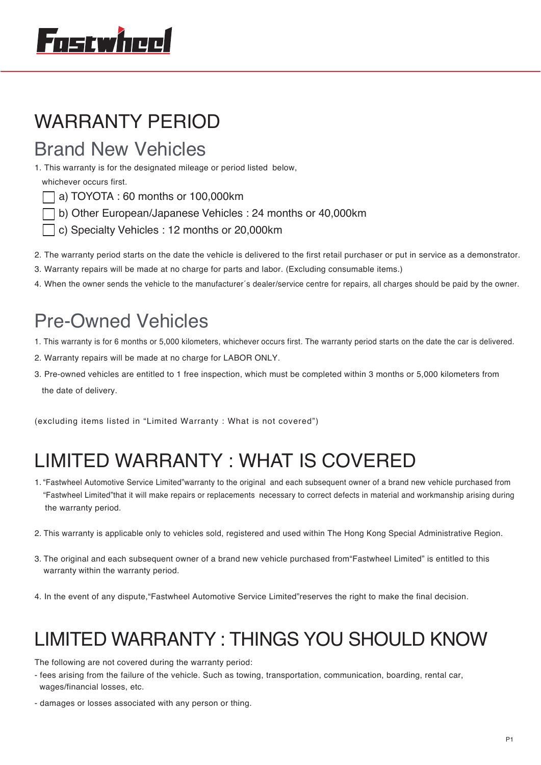# 'nstwineel

## WARRANTY PERIOD

## Brand New Vehicles

1. This warranty is for the designated mileage or period listed below,

whichever occurs first.

- a) TOYOTA : 60 months or 100,000km
- b) Other European/Japanese Vehicles : 24 months or 40,000km
- c) Specialty Vehicles : 12 months or 20,000km
- 2. The warranty period starts on the date the vehicle is delivered to the first retail purchaser or put in service as a demonstrator.
- 3. Warranty repairs will be made at no charge for parts and labor. (Excluding consumable items.)
- 4. When the owner sends the vehicle to the manufacturer´s dealer/service centre for repairs, all charges should be paid by the owner.

## Pre-Owned Vehicles

- 1. This warranty is for 6 months or 5,000 kilometers, whichever occurs first. The warranty period starts on the date the car is delivered.
- 2. Warranty repairs will be made at no charge for LABOR ONLY.
- 3. Pre-owned vehicles are entitled to 1 free inspection, which must be completed within 3 months or 5,000 kilometers from the date of delivery.

(excluding items listed in "Limited Warranty : What is not covered")

## LIMITED WARRANTY : WHAT IS COVERED

- 1. "Fastwheel Automotive Service Limited"warranty to the original and each subsequent owner of a brand new vehicle purchased from "Fastwheel Limited"that it will make repairs or replacements necessary to correct defects in material and workmanship arising during the warranty period.
- 2. This warranty is applicable only to vehicles sold, registered and used within The Hong Kong Special Administrative Region.
- 3. The original and each subsequent owner of a brand new vehicle purchased from"Fastwheel Limited" is entitled to this warranty within the warranty period.
- 4. In the event of any dispute,"Fastwheel Automotive Service Limited"reserves the right to make the final decision.

## LIMITED WARRANTY : THINGS YOU SHOULD KNOW

The following are not covered during the warranty period:

- fees arising from the failure of the vehicle. Such as towing, transportation, communication, boarding, rental car, wages/financial losses, etc.
- damages or losses associated with any person or thing.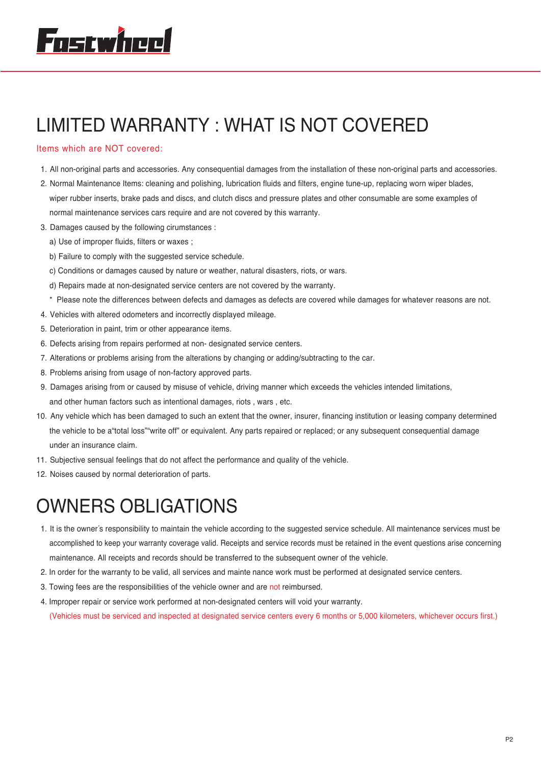## LIMITED WARRANTY : WHAT IS NOT COVERED

#### Items which are NOT covered:

- 1. All non-original parts and accessories. Any consequential damages from the installation of these non-original parts and accessories.
- 2. Normal Maintenance Items: cleaning and polishing, lubrication fluids and filters, engine tune-up, replacing worn wiper blades, wiper rubber inserts, brake pads and discs, and clutch discs and pressure plates and other consumable are some examples of normal maintenance services cars require and are not covered by this warranty.
- 3. Damages caused by the following cirumstances :
	- a) Use of improper fluids, filters or waxes ;
	- b) Failure to comply with the suggested service schedule.
	- c) Conditions or damages caused by nature or weather, natural disasters, riots, or wars.
	- d) Repairs made at non-designated service centers are not covered by the warranty.
- \* Please note the differences between defects and damages as defects are covered while damages for whatever reasons are not.
- 4. Vehicles with altered odometers and incorrectly displayed mileage.
- 5. Deterioration in paint, trim or other appearance items.
- 6. Defects arising from repairs performed at non- designated service centers.
- 7. Alterations or problems arising from the alterations by changing or adding/subtracting to the car.
- 8. Problems arising from usage of non-factory approved parts.
- 9. Damages arising from or caused by misuse of vehicle, driving manner which exceeds the vehicles intended limitations, and other human factors such as intentional damages, riots , wars , etc.
- 10. Any vehicle which has been damaged to such an extent that the owner, insurer, financing institution or leasing company determined the vehicle to be a"total loss""write off" or equivalent. Any parts repaired or replaced; or any subsequent consequential damage under an insurance claim.
- 11. Subjective sensual feelings that do not affect the performance and quality of the vehicle.
- 12. Noises caused by normal deterioration of parts.

## OWNERS OBLIGATIONS

- 1. It is the owner´s responsibility to maintain the vehicle according to the suggested service schedule. All maintenance services must be accomplished to keep your warranty coverage valid. Receipts and service records must be retained in the event questions arise concerning maintenance. All receipts and records should be transferred to the subsequent owner of the vehicle.
- 2. In order for the warranty to be valid, all services and mainte nance work must be performed at designated service centers.
- 3. Towing fees are the responsibilities of the vehicle owner and are not reimbursed.
- 4. Improper repair or service work performed at non-designated centers will void your warranty.

(Vehicles must be serviced and inspected at designated service centers every 6 months or 5,000 kilometers, whichever occurs first.)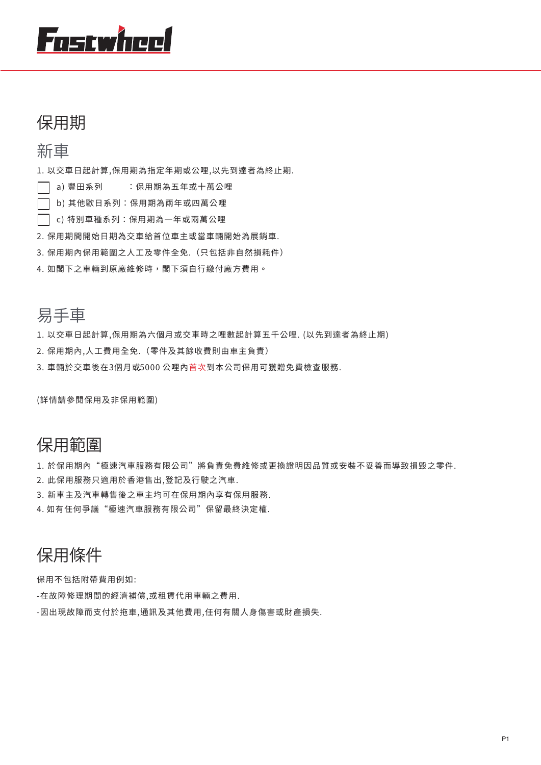# Fostwheel

### 保用期

### 新車

1. 以交車日起計算,保用期為指定年期或公哩,以先到達者為終止期.

- □ a) 豐田系列 : 保用期為五年或十萬公哩
- □ b) 其他歐日系列: 保用期為兩年或四萬公哩
- □ c) 特別車種系列:保用期為一年或兩萬公哩
- 2. 保用期間開始日期為交車給首位車主或當車輛開始為展銷車.
- 3. 保用期內保用範圍之人工及零件全免.(只包括非自然損耗件)
- 4. 如閣下之車輛到原廠維修時,閣下須自行繳付廠方費用。

### 易手車

- 1. 以交車日起計算,保用期為六個月或交車時之哩數起計算五千公哩. (以先到達者為終止期)
- 2. 保用期內,人工費用全免.(零件及其餘收費則由車主負責)
- 3. 車輛於交車後在3個月或5000 公哩內首次到本公司保用可獲贈免費檢查服務.

(詳情請參閱保用及非保用範圍)

### 保用範圍

1. 於保用期內"極速汽車服務有限公司"將負責免費維修或更換證明因品質或安裝不妥善而導致損毀之零件.

- 2. 此保用服務只適用於香港售出,登記及行駛之汽車.
- 3. 新車主及汽車轉售後之車主均可在保用期內享有保用服務.
- 4. 如有任何爭議"極速汽車服務有限公司"保留最終決定權.

### 保用條件

保用不包括附帶費用例如:

- -在故障修理期間的經濟補償,或租賃代用車輛之費用.
- -因出現故障而支付於拖車,通訊及其他費用,任何有關人身傷害或財產損失.